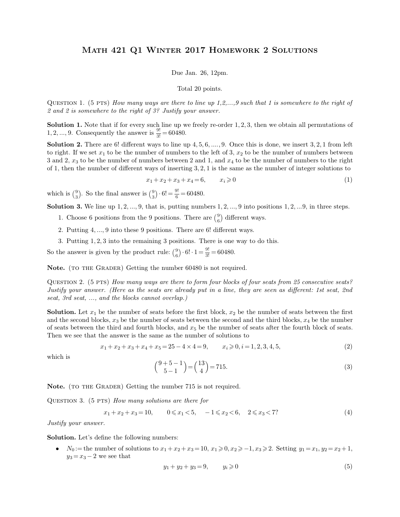## Math 421 Q1 Winter 2017 Homework 2 Solutions MATH 421 Q1 WINTER 2017 HOMEWORK 2 SOLUTIONS<br>Due Jan. 26, 12pm.<br>Total 20 points.

Due Jan.  $26$ ,  $12 \text{pm}$ .

Question <sup>1</sup>. (5 pts) *How many ways are there to line up 1,2,...,9 such that 1 is somewhere to the right of 2 and 2 is somewhere to the right of 3? Justify your answer.*

**Solution 1.** (5 PTS) *How many ways are there to line up 1,2,...,9 such that 1 is somewhere to the right of 2 and 2 is somewhere to the right of 3? Justify your answer.<br>Solution 1. Note that if for every such line up w* 1, 2, ..., 9. Consequently the answer is  $\frac{9!}{3!} = 60480$ .

3 and 2 *x* to be that if for every such line up we freely re-order 1, 2, 3, then we obtain all permutations of 1, 2, ..., 9. Consequently the answer is  $\frac{9!}{3!} = 60480$ .<br> **Solution 2.** There are 6! different ways to li **Solution 1.** Note that if for every such line up we freely re-order 1, 2, 3, then we obtain all permutations of 1, 2, ..., 9. Consequently the answer is  $\frac{9!}{3!} = 60480$ .<br> **Solution 2.** There are 6! different ways to l **Solution 1.** Note that if for every such line up we freely re-order 1, 2, 3, then we obtain all permutations of 1, 2, ..., 9. Consequently the answer is  $\frac{9!}{3!} = 60480$ .<br>**Solution 2.** There are 6! different ways to li 1, 2, ..., 9. Consequently the answer is  $\frac{9!}{3!} = 60480$ .<br> **Solution 2.** There are 6! different ways to line up 4, 5, 6, ..., 9. Once this is done, we insert 3, 2, 1 from left to right. If we set  $x_1$  to be the number ways to line up 4, 5, 6, ...., 9. Once this is done, we insert 3, 2, 1 from left<br>ther of numbers to the left of 3,  $x_2$  to be the number of numbers between<br>mbers between 2 and 1, and  $x_4$  to be the number of numbers to  $3$  and  $2$ ,  $x_3$  to be to  $1$ , then the nun<br>which is  $\binom{9}{3}$ . So the solution  $3 \text{ We}$ to be the number of numbers between to be the number of numbers between number of different ways of instance number of different ways of instance  $x_1 + x_2 +$ :<br> $x_2 +$ :<br> $x_3 + x_2 +$ :<br> $x_4 + x_3 + x_4$ . rs between 2 and 1<br>of inserting 3, 2, 1<br> $x_2 + x_3 + x_4 = 6$ ,<br> $\cdot 6! = \frac{9!}{6} = 60480$ .<br>is, putting numbe

$$
x_1 + x_2 + x_3 + x_4 = 6, \t x_i \ge 0
$$
\n
$$
(\binom{9}{3} \cdot 6! = \frac{9!}{6} = 60480.
$$
\nthat is, putting numbers 1, 2, ..., 9 into positions 1, 2, ..., 9, in three steps.

\n9 positions. There are  $\binom{9}{6}$  different ways.

 $\binom{9}{3}$ . So the  $\binom{9}{3} \cdot 6! = \frac{9!}{6}$  $x_1 + x_2 + x_3 + x_4 = 6$ ,  $x_i \ge 0$ <br>
ch is  $\binom{9}{3}$ . So the final answer is  $\binom{9}{3} \cdot 6! = \frac{9!}{6} = 60480$ .<br> **ution 3.** We line up 1, 2, ..., 9, that is, putting numbers 1, 2, ..., 9.<br>
1. Choose 6 positions from the 9 posit ch is  $\binom{9}{3}$ . So the final answer is  $\binom{9}{3} \cdot 6! = \frac{9!}{6} = 60480$ .<br> **ution 3.** We line up 1, 2, ..., 9, that is, putting numbers 1, 2, ..., 9 into posi<br>
1. Choose 6 positions from the 9 positions. There are  $\binom{9}{$ 

6 1, then the number of different ways of inserting 3, 2, 1 is the same as the number of integer solutions to<br>  $x_1 + x_2 + x_3 + x_4 = 6$ ,  $x_i \ge 0$  (1)<br>
which is  $\binom{9}{3}$ . So the final answer is  $\binom{9}{3} \cdot 6! = \frac{9!}{6} = 60480$ **1.** Choose 6 positions from the 9 positions. There are  $\binom{9}{6}$  different ways.<br>
2. Putting 4, ..., 9 into these 9 positions. There are  $\binom{9}{6}$  different ways.<br>
3. Putting 1, 2, 3 into the remaining 3 positions. The

- $9\lambda$  differ
- 
- 

1. Choose 6 positions from the 9 positions. There 2. Putting 4, ..., 9 into these 9 positions. There a<br>3. Putting 1, 2, 3 into the remaining 3 positions.<br>So the answer is given by the product rule:  $\binom{9}{6} \cdot 6! \cdot 1$  $^{9}_{6}$ . 6!  $\cdot$  1 = There are  $\binom{9}{6}$  different v<br>here are 6! different v<br>ions. There is one w<br> $\cdot 6! \cdot 1 = \frac{9!}{3!} = 60480.$  $\frac{9!}{3!}$  = 60480. 2. Putting 4, ..., 9 into these 9 positions. There are 6! different ways.<br>3. Putting 1, 2, 3 into the remaining 3 positions. There is one way to compare So the answer is given by the product rule:  $\binom{9}{6} \cdot 6! \cdot 1 = \frac{9!$ 

**Note.** (TO THE GRADER) Getting the number 60480 is not required.

3. I divided 1, 2, 3 mto the remaining 3 positions. There is one way to do this.<br>So the answer is given by the product rule:  $\binom{9}{6} \cdot 6! \cdot 1 = \frac{9!}{3!} = 60480$ .<br>**Note.** (TO THE GRADER) Getting the number 60480 is not re QUESTION 2. (5 PTS) *How many ways are there to form four blocks of four seats from 25 consecutive seats?*<br>*Justify your answer. (Here as the seats are already put in a line, they are seen as different: 1st seat, 2nd* seat QUESTION 2. (5 PTS) How many ways are there to form four blocks of four seats from 25 consecutive seats?<br>Justify your answer. (Here as the seats are already put in a line, they are seen as different: 1st seat, 2nd<br>seat, 3

QUESTION 2. (5 PTS) How many ways are there to form four blocks of four seats from 25 consecutive seats?<br>Justify your answer. (Here as the seats are already put in a line, they are seen as different: 1st seat, 2nd<br>seat, 3 Justify your answer. (Here as the seats are already put in a line, they are seen as different: 1st seat, 2nd seat, 3rd seat, ..., and the blocks cannot overlap.)<br> **Solution.** Let  $x_1$  be the number of seats before the fi seat, 3rd seat, ..., and the blocks cannot overlap.)<br> **Solution.** Let  $x_1$  be the number of seats before the first block,  $x_2$  be the number<br>
and the second blocks,  $x_3$  be the number of seats between the second and th % e first block,  $x_2$  be the number of seats between the first tween the second and the third blocks,  $x_4$  be the number  $x_5$  be the number of seats after the fourth block of seats.<br>mber of solutions to<br> $4 = 9$ ,  $x_i \ge 0$ and the second blocks,  $x_3$  be the number of seats between the second and the third blocks,  $x_4$  be the number<br>of seats between the third and fourth blocks, and  $x_5$  be the number of seats after the fourth block of sea Then we see that the answer is the same as the number of solutions to

$$
x_1 + x_2 + x_3 + x_4 + x_5 = 25 - 4 \times 4 = 9, \qquad x_i \geqslant 0, i = 1, 2, 3, 4, 5,
$$
\n<sup>(2)</sup>

which is  
\n
$$
x_1 + x_2 + x_3 + x_4 + x_5 = 25 - 4 \times 4 = 9, \qquad x_i \ge 0, i = 1, 2, 3, 4, 5,
$$
\n
$$
\binom{9+5-1}{5-1} = \binom{13}{4} = 715.
$$
\n(3)  
\n**Note.** (TO THE GRADER) Getting the number 715 is not required.  
\nQUESTION 3. (5 PTS) *How many solutions are there for*  
\n
$$
x_1 + x_2 + x_3 = 10, \qquad 0 \le x_1 < 5, \qquad -1 \le x_2 < 6, \quad 2 \le x_3 < 7?
$$
\n(4)

**Note.** (TO THE GRADER<br>
QUESTION 3. (5 PTS) *H*<sub>a</sub><br>  $x_1 + x_2$ <br> *Justify your answer.*<br>
Solution Let's define the

$$
x_1 + x_2 + x_3 = 10, \qquad 0 \le x_1 < 5, \quad -1 \le x_2 < 6, \quad 2 \le x_3 < 7 \tag{4}
$$

QUESTION 3. (5 PTS) How many solutions are there for<br>  $x_1 + x_2 + x_3 = 10$ ,  $0 \le x_1 < 5$ ,  $-1 \le x_2 < 6$ ,  $2 \le x_3 < 7$ ? (4)<br>
Justify your answer.<br>
Solution. Let's define the following numbers:<br>
•  $N_0 :=$  the number of solutions t **Solution.** Let's define the following numbers:<br>
•  $N_0 :=$  the number of solutions to  $x_1 + x_2 + x_3 = 10$ ,  $x_1 \ge 0$ ,  $x_2 \ge -1$ ,  $x_3 \ge 2$ . Setting  $y_1 = x_1$ ,  $y_2 = x_2 + 1$ ,

$$
y_1 + y_2 + y_3 = 9, \t y_i \ge 0 \t (5)
$$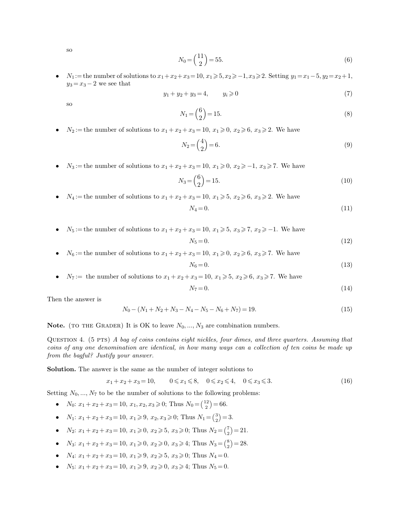so

$$
N_0 = \left(\frac{11}{2}\right) = 55.\tag{6}
$$

so<br>  $N_0 = \binom{11}{2} = 55.$  (6)<br>  $N_1 :=$  the number of solutions to  $x_1 + x_2 + x_3 = 10$ ,  $x_1 \ge 5, x_2 \ge -1, x_3 \ge 2$ . Setting  $y_1 = x_1 - 5, y_2 = x_2 + 1, y_3 = x_3 - 2$  we see that<br>  $y_1 + y_2 + y_3 = 4,$   $y_i \ge 0$  (7) *N*<sub>1</sub> := the number of solutions to  $x_1 + x_2 + x_3 = 10$ ,  $x_1 \ge 5$ ,  $x_2 \ge -1$ ,  $x_3 \ge 2$ . Setting  $y_1 = x_1 - 5$ ,  $y_2 = x_2 + 1$ ,

$$
y_1 + y_2 + y_3 = 4, \t y_i \geq 0 \t(7)
$$

so

$$
N_1 = {6 \choose 2} = 15.
$$
\n
$$
2 + x_3 = 10, x_1 \ge 0, x_2 \ge 6, x_3 \ge 2.
$$
\nWe have\n
$$
N_2 = {4 \choose 2} = 6.
$$
\n(9)

*N*<sub>2</sub> := the number of solutions to  $x_1 + x_2 + x_3 = 10$ ,  $x_1 \ge 0$ ,  $x_2 \ge 6$ ,  $x_3 \ge 2$ . We have

\n- \n
$$
N_2 :=
$$
 the number of solutions to  $x_1 + x_2 + x_3 = 10$ ,  $x_1 \geqslant 0$ ,  $x_2 \geqslant 6$ ,  $x_3 \geqslant 2$ . We have\n  $N_2 = \binom{4}{2} = 6.$ \n
\n- \n $N_3 :=$  the number of solutions to  $x_1 + x_2 + x_3 = 10$ ,  $x_1 \geqslant 0$ ,  $x_2 \geqslant -1$ ,  $x_3 \geqslant 7$ . We have\n  $N_3 :=$ \n $(6)$ \n $N_3 =$ \n $(10)$ \n
\n

\n- \n
$$
N_3 :=
$$
 the number of solutions to  $x_1 + x_2 + x_3 = 10$ ,  $x_1 \ge 0$ ,  $x_2 \ge -1$ ,  $x_3 \ge 7$ . We have\n  $N_3 = \binom{6}{2} = 15.$ \n
\n- \n $N_4 :=$  the number of solutions to  $x_1 + x_2 + x_3 = 10$ ,  $x_1 \ge 5$ ,  $x_2 \ge 6$ ,  $x_3 \ge 2$ . We have\n  $N_4 = 0.$ \n
\n
\n\n(11)\n

$$
V_4 = 0.\t\t(11)
$$

*N*<sub>4</sub> := the number of solutions to  $x_1 + x_2 + x_3 = 10$ ,  $x_1 \ge 5$ ,  $x_2 \ge 6$ ,  $x_3 \ge 2$ . We have<br>  $N_4 = 0$ .<br>  $N_5 :=$  the number of solutions to  $x_1 + x_2 + x_3 = 10$ ,  $x_1 \ge 5$ ,  $x_3 \ge 7$ ,  $x_2 \ge -1$ . We have *N*<sub>5</sub> := the number of solutions to *x*<sub>1</sub> + *x*<sub>2</sub> + *x*<sub>3</sub> = 10, *x*<sub>1</sub> ≥ 5, *x*<sub>3</sub> ≥ 7, *x*<sub>2</sub> ≥ −1. We have<br> *N*<sub>5</sub> = 0. (12)<br>
• *N*<sub>6</sub> := the number of solutions to *x*<sub>1</sub> + *x*<sub>2</sub> + *x*<sub>3</sub> = 10, *x*<sub>1</sub> ≥ 0, *x*<sub>2</sub> *N*<sub>5</sub> := the number of solutions to *x*<sub>1</sub> + *x*<sub>2</sub> + *x*<sub>3</sub> = 10, *x*<sub>1</sub> ≥ 5, *x*<sub>3</sub> ≥ 7, *x*<sub>2</sub> ≥ −1. We have<br> *N*<sub>6</sub> := the number of solutions to *x*<sub>1</sub> + *x*<sub>2</sub> + *x*<sub>3</sub> = 10, *x*<sub>1</sub> ≥ 0, *x*<sub>2</sub> ≥ 6, *x*<sub>3</sub> ≥ 7. We

$$
V_5 = 0.\t\t(12)
$$

$$
x_3 = 10, x_1 \ge 0, x_2 \ge 6, x_3 \ge 7.
$$
 We have  
\n
$$
N_6 = 0.
$$
 (13)  
\n
$$
x_3 = 10, x_1 \ge 5, x_2 \ge 6, x_3 \ge 7.
$$
 We have  
\n
$$
N_7 = 0.
$$
 (14)

•  $N_7 :=$  the number of<br>Then the answer is

$$
N_7 = 0.\t(14)
$$

Then the answer is  
\n
$$
N_0 - (N_1 + N_2 + N_3 - N_4 - N_5 - N_6 + N_7) = 19.
$$
\n(15)  
\n**Note.** (TO THE GRADER) It is OK to leave  $N_0, ..., N_3$  are combination numbers.

**Note.** (TO THE GRADER) It is OK to leave  $N_0$ , ...,  $N_3$  are combination numbers.<br>Question 4. (5 PTS) *A bag of coins contains eight nickles, four dimes, and three quarters. Assuming that* coins of any one denomination *Note.* (TO THE GRADER) It is OK to leave  $N_0$ , ...,  $N_3$  are combination numbers.<br>QUESTION 4. (5 PTS) *A bag of coins contains eight nickles, four dimes, and three quarters. Assuming that* coins of any one denomination **Note.** (TO THE GRADER) It is OK to lea<br>
QUESTION 4. (5 PTS) A bag of coins controins of any one denomination are identity<br>
from the bagful? Justify your answer. QUESTION 4. (5 PTS) A bag of coins contains eight nickles, four dimes, and three coins of any one denomination are identical, in how many ways can a collectio from the bagful? Justify your answer.<br>**Solution.** The answer i **Solution.** The answer is the same as the number of integer solutions to  $x_1 + x_2 + x_3 = 10$ ,  $0 \le x_1 \le 8$ ,  $0 \le x_2 \le 4$ ,  $0 \le x_3 \le 3$ .<br>Setting  $N_0, ..., N_7$  to be the number of solutions to the following problems:<br>•  $N_0: x_1 +$ 

$$
x_1 + x_2 + x_3 = 10, \qquad 0 \le x_1 \le 8, \quad 0 \le x_2 \le 4, \quad 0 \le x_3 \le 3. \tag{16}
$$

- $\binom{12}{2} = 66.$
- *x*<sub>1</sub> + *x*<sub>2</sub> + *x*<sub>3</sub> = 10,  $0 \le x_1 \le 8$ ,  $0 \le x_2 \le 4$ , 0<br> *N*<sub>0</sub>: *x*<sub>1</sub> + *x*<sub>2</sub> + *x*<sub>3</sub> = 10, *x*<sub>1</sub>, *x*<sub>2</sub>, *x*<sub>3</sub>  $\ge$  0; Thus *N*<sub>0</sub> =  $\binom{12}{2}$  = 66.<br>
 *N*<sub>1</sub>: *x*<sub>1</sub> + *x*<sub>2</sub> + *x*<sub>3</sub> = 10, *x*<sub>1</sub>  $\ge$  9,  $(3) - 3$
- $x_1 + x_2 + x_3 = 10,$   $0 \le x_1 \le 8,$   $0 \le x_2 \le 4,$   $0 \le x_3$ <br> *x*<sub>0</sub>: *x*<sub>1</sub> + *x*<sub>2</sub> + *x*<sub>3</sub> = 10, *x*<sub>1</sub>, *x*<sub>2</sub>, *x*<sub>3</sub>  $\ge$  0; Thus  $N_0 = \binom{12}{2} = 66.$ <br>
  $N_1: x_1 + x_2 + x_3 = 10, x_1 \ge 9, x_2, x_3 \ge 0$ ; Thus  $N_1 = \binom{3}{2} = 3.$  $\binom{7}{2} = 21.$ *N*<sub>0</sub>:  $x_1 + x_2 + x_3 = 10$ ,  $x_1, x_2, x_3 \ge 0$ ; Thus  $N_0 = \binom{22}{2} = 66$ .<br> *N*<sub>1</sub>:  $x_1 + x_2 + x_3 = 10$ ,  $x_1 \ge 9$ ,  $x_2, x_3 \ge 0$ ; Thus  $N_1 = \binom{3}{2} = 3$ .<br> *N*<sub>2</sub>:  $x_1 + x_2 + x_3 = 10$ ,  $x_1 \ge 0$ ,  $x_2 \ge 5$ ,  $x_3 \ge 0$ ; Thus  $N_2 =$ •  $N_1: x_1 + x_2 + x_3 = 10, x_1 \ge 9, x_2, x_3 \ge 0$ ; Thus  $N_1 = \binom{3}{2} = 3$ .<br>
•  $N_2: x_1 + x_2 + x_3 = 10, x_1 \ge 0, x_2 \ge 5, x_3 \ge 0$ ; Thus  $N_2 = \binom{7}{2} = 21$ .<br>
•  $N_3: x_1 + x_2 + x_3 = 10, x_1 \ge 0, x_2 \ge 0, x_3 \ge 4$ ; Thus  $N_3 = \binom{8}{2} = 28$ .<br>
•
- $\binom{8}{2} = 28.$
- 
-